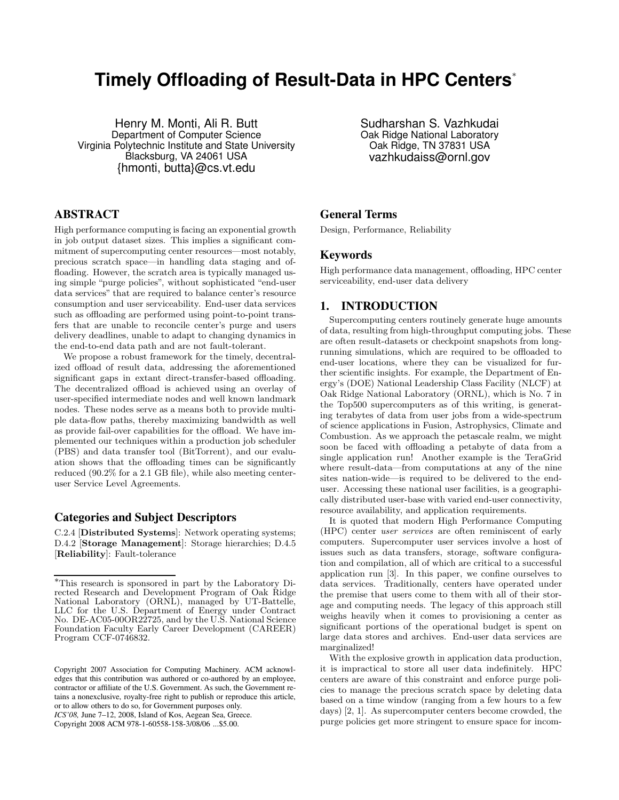# **Timely Offloading of Result-Data in HPC Centers**<sup>∗</sup>

Henry M. Monti, Ali R. Butt Department of Computer Science Virginia Polytechnic Institute and State University Blacksburg, VA 24061 USA {hmonti, butta}@cs.vt.edu

# **ABSTRACT**

High performance computing is facing an exponential growth in job output dataset sizes. This implies a significant commitment of supercomputing center resources—most notably, precious scratch space—in handling data staging and offloading. However, the scratch area is typically managed using simple "purge policies", without sophisticated "end-user data services" that are required to balance center's resource consumption and user serviceability. End-user data services such as offloading are performed using point-to-point transfers that are unable to reconcile center's purge and users delivery deadlines, unable to adapt to changing dynamics in the end-to-end data path and are not fault-tolerant.

We propose a robust framework for the timely, decentralized offload of result data, addressing the aforementioned significant gaps in extant direct-transfer-based offloading. The decentralized offload is achieved using an overlay of user-specified intermediate nodes and well known landmark nodes. These nodes serve as a means both to provide multiple data-flow paths, thereby maximizing bandwidth as well as provide fail-over capabilities for the offload. We have implemented our techniques within a production job scheduler (PBS) and data transfer tool (BitTorrent), and our evaluation shows that the offloading times can be significantly reduced (90.2% for a 2.1 GB file), while also meeting centeruser Service Level Agreements.

## **Categories and Subject Descriptors**

C.2.4 [Distributed Systems]: Network operating systems; D.4.2 [Storage Management]: Storage hierarchies; D.4.5 [Reliability]: Fault-tolerance

Copyright 2008 ACM 978-1-60558-158-3/08/06 ...\$5.00.

Sudharshan S. Vazhkudai Oak Ridge National Laboratory Oak Ridge, TN 37831 USA vazhkudaiss@ornl.gov

## **General Terms**

Design, Performance, Reliability

#### **Keywords**

High performance data management, offloading, HPC center serviceability, end-user data delivery

# **1. INTRODUCTION**

Supercomputing centers routinely generate huge amounts of data, resulting from high-throughput computing jobs. These are often result-datasets or checkpoint snapshots from longrunning simulations, which are required to be offloaded to end-user locations, where they can be visualized for further scientific insights. For example, the Department of Energy's (DOE) National Leadership Class Facility (NLCF) at Oak Ridge National Laboratory (ORNL), which is No. 7 in the Top500 supercomputers as of this writing, is generating terabytes of data from user jobs from a wide-spectrum of science applications in Fusion, Astrophysics, Climate and Combustion. As we approach the petascale realm, we might soon be faced with offloading a petabyte of data from a single application run! Another example is the TeraGrid where result-data—from computations at any of the nine sites nation-wide—is required to be delivered to the enduser. Accessing these national user facilities, is a geographically distributed user-base with varied end-user connectivity, resource availability, and application requirements.

It is quoted that modern High Performance Computing (HPC) center user services are often reminiscent of early computers. Supercomputer user services involve a host of issues such as data transfers, storage, software configuration and compilation, all of which are critical to a successful application run [3]. In this paper, we confine ourselves to data services. Traditionally, centers have operated under the premise that users come to them with all of their storage and computing needs. The legacy of this approach still weighs heavily when it comes to provisioning a center as significant portions of the operational budget is spent on large data stores and archives. End-user data services are marginalized!

With the explosive growth in application data production, it is impractical to store all user data indefinitely. HPC centers are aware of this constraint and enforce purge policies to manage the precious scratch space by deleting data based on a time window (ranging from a few hours to a few days) [2, 1]. As supercomputer centers become crowded, the purge policies get more stringent to ensure space for incom-

<sup>∗</sup>This research is sponsored in part by the Laboratory Directed Research and Development Program of Oak Ridge National Laboratory (ORNL), managed by UT-Battelle, LLC for the U.S. Department of Energy under Contract No. DE-AC05-00OR22725, and by the U.S. National Science Foundation Faculty Early Career Development (CAREER) Program CCF-0746832.

Copyright 2007 Association for Computing Machinery. ACM acknowledges that this contribution was authored or co-authored by an employee, contractor or affiliate of the U.S. Government. As such, the Government retains a nonexclusive, royalty-free right to publish or reproduce this article, or to allow others to do so, for Government purposes only. *ICS'08,* June 7–12, 2008, Island of Kos, Aegean Sea, Greece.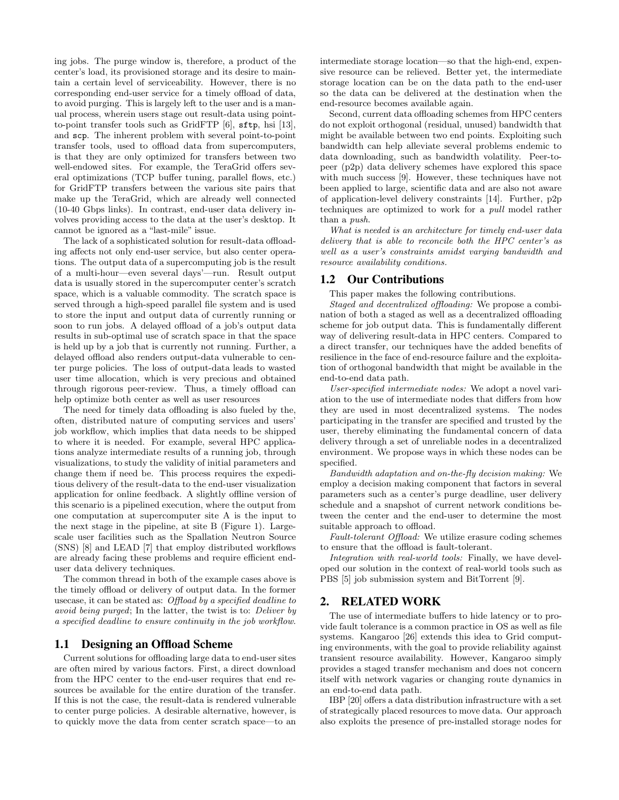ing jobs. The purge window is, therefore, a product of the center's load, its provisioned storage and its desire to maintain a certain level of serviceability. However, there is no corresponding end-user service for a timely offload of data, to avoid purging. This is largely left to the user and is a manual process, wherein users stage out result-data using pointto-point transfer tools such as GridFTP [6], sftp, hsi [13], and scp. The inherent problem with several point-to-point transfer tools, used to offload data from supercomputers, is that they are only optimized for transfers between two well-endowed sites. For example, the TeraGrid offers several optimizations (TCP buffer tuning, parallel flows, etc.) for GridFTP transfers between the various site pairs that make up the TeraGrid, which are already well connected (10-40 Gbps links). In contrast, end-user data delivery involves providing access to the data at the user's desktop. It cannot be ignored as a "last-mile" issue.

The lack of a sophisticated solution for result-data offloading affects not only end-user service, but also center operations. The output data of a supercomputing job is the result of a multi-hour—even several days'—run. Result output data is usually stored in the supercomputer center's scratch space, which is a valuable commodity. The scratch space is served through a high-speed parallel file system and is used to store the input and output data of currently running or soon to run jobs. A delayed offload of a job's output data results in sub-optimal use of scratch space in that the space is held up by a job that is currently not running. Further, a delayed offload also renders output-data vulnerable to center purge policies. The loss of output-data leads to wasted user time allocation, which is very precious and obtained through rigorous peer-review. Thus, a timely offload can help optimize both center as well as user resources

The need for timely data offloading is also fueled by the, often, distributed nature of computing services and users' job workflow, which implies that data needs to be shipped to where it is needed. For example, several HPC applications analyze intermediate results of a running job, through visualizations, to study the validity of initial parameters and change them if need be. This process requires the expeditious delivery of the result-data to the end-user visualization application for online feedback. A slightly offline version of this scenario is a pipelined execution, where the output from one computation at supercomputer site A is the input to the next stage in the pipeline, at site B (Figure 1). Largescale user facilities such as the Spallation Neutron Source (SNS) [8] and LEAD [7] that employ distributed workflows are already facing these problems and require efficient enduser data delivery techniques.

The common thread in both of the example cases above is the timely offload or delivery of output data. In the former usecase, it can be stated as: Offload by a specified deadline to avoid being purged; In the latter, the twist is to: Deliver by a specified deadline to ensure continuity in the job workflow.

#### **1.1 Designing an Offload Scheme**

Current solutions for offloading large data to end-user sites are often mired by various factors. First, a direct download from the HPC center to the end-user requires that end resources be available for the entire duration of the transfer. If this is not the case, the result-data is rendered vulnerable to center purge policies. A desirable alternative, however, is to quickly move the data from center scratch space—to an

intermediate storage location—so that the high-end, expensive resource can be relieved. Better yet, the intermediate storage location can be on the data path to the end-user so the data can be delivered at the destination when the end-resource becomes available again.

Second, current data offloading schemes from HPC centers do not exploit orthogonal (residual, unused) bandwidth that might be available between two end points. Exploiting such bandwidth can help alleviate several problems endemic to data downloading, such as bandwidth volatility. Peer-topeer (p2p) data delivery schemes have explored this space with much success [9]. However, these techniques have not been applied to large, scientific data and are also not aware of application-level delivery constraints [14]. Further, p2p techniques are optimized to work for a pull model rather than a push.

What is needed is an architecture for timely end-user data delivery that is able to reconcile both the HPC center's as well as a user's constraints amidst varying bandwidth and resource availability conditions.

#### **1.2 Our Contributions**

This paper makes the following contributions.

Staged and decentralized offloading: We propose a combination of both a staged as well as a decentralized offloading scheme for job output data. This is fundamentally different way of delivering result-data in HPC centers. Compared to a direct transfer, our techniques have the added benefits of resilience in the face of end-resource failure and the exploitation of orthogonal bandwidth that might be available in the end-to-end data path.

User-specified intermediate nodes: We adopt a novel variation to the use of intermediate nodes that differs from how they are used in most decentralized systems. The nodes participating in the transfer are specified and trusted by the user, thereby eliminating the fundamental concern of data delivery through a set of unreliable nodes in a decentralized environment. We propose ways in which these nodes can be specified.

Bandwidth adaptation and on-the-fly decision making: We employ a decision making component that factors in several parameters such as a center's purge deadline, user delivery schedule and a snapshot of current network conditions between the center and the end-user to determine the most suitable approach to offload.

Fault-tolerant Offload: We utilize erasure coding schemes to ensure that the offload is fault-tolerant.

Integration with real-world tools: Finally, we have developed our solution in the context of real-world tools such as PBS [5] job submission system and BitTorrent [9].

# **2. RELATED WORK**

The use of intermediate buffers to hide latency or to provide fault tolerance is a common practice in OS as well as file systems. Kangaroo [26] extends this idea to Grid computing environments, with the goal to provide reliability against transient resource availability. However, Kangaroo simply provides a staged transfer mechanism and does not concern itself with network vagaries or changing route dynamics in an end-to-end data path.

IBP [20] offers a data distribution infrastructure with a set of strategically placed resources to move data. Our approach also exploits the presence of pre-installed storage nodes for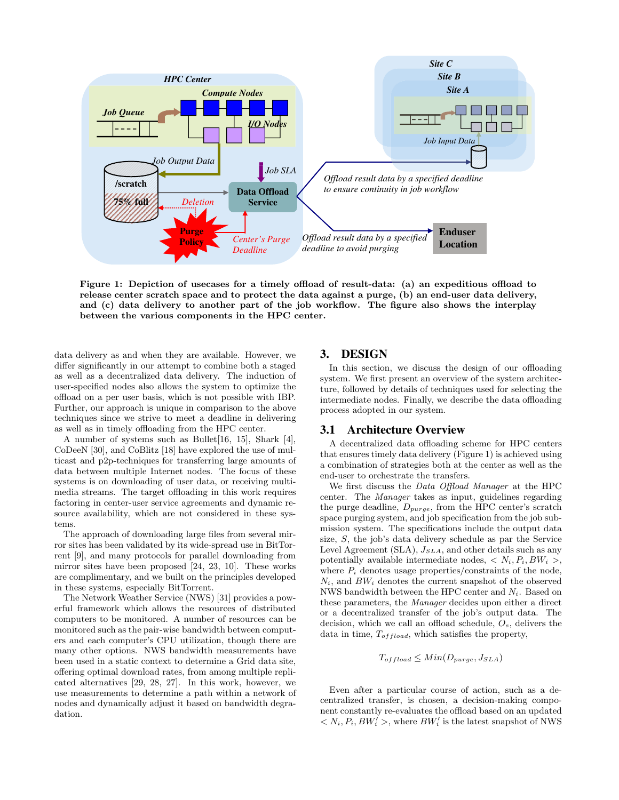

Figure 1: Depiction of usecases for a timely offload of result-data: (a) an expeditious offload to release center scratch space and to protect the data against a purge, (b) an end-user data delivery, and (c) data delivery to another part of the job workflow. The figure also shows the interplay between the various components in the HPC center.

data delivery as and when they are available. However, we differ significantly in our attempt to combine both a staged as well as a decentralized data delivery. The induction of user-specified nodes also allows the system to optimize the offload on a per user basis, which is not possible with IBP. Further, our approach is unique in comparison to the above techniques since we strive to meet a deadline in delivering as well as in timely offloading from the HPC center.

A number of systems such as Bullet[16, 15], Shark [4], CoDeeN [30], and CoBlitz [18] have explored the use of multicast and p2p-techniques for transferring large amounts of data between multiple Internet nodes. The focus of these systems is on downloading of user data, or receiving multimedia streams. The target offloading in this work requires factoring in center-user service agreements and dynamic resource availability, which are not considered in these systems.

The approach of downloading large files from several mirror sites has been validated by its wide-spread use in BitTorrent [9], and many protocols for parallel downloading from mirror sites have been proposed [24, 23, 10]. These works are complimentary, and we built on the principles developed in these systems, especially BitTorrent.

The Network Weather Service (NWS) [31] provides a powerful framework which allows the resources of distributed computers to be monitored. A number of resources can be monitored such as the pair-wise bandwidth between computers and each computer's CPU utilization, though there are many other options. NWS bandwidth measurements have been used in a static context to determine a Grid data site, offering optimal download rates, from among multiple replicated alternatives [29, 28, 27]. In this work, however, we use measurements to determine a path within a network of nodes and dynamically adjust it based on bandwidth degradation.

# **3. DESIGN**

In this section, we discuss the design of our offloading system. We first present an overview of the system architecture, followed by details of techniques used for selecting the intermediate nodes. Finally, we describe the data offloading process adopted in our system.

## **3.1 Architecture Overview**

A decentralized data offloading scheme for HPC centers that ensures timely data delivery (Figure 1) is achieved using a combination of strategies both at the center as well as the end-user to orchestrate the transfers.

We first discuss the Data Offload Manager at the HPC center. The Manager takes as input, guidelines regarding the purge deadline,  $D_{pure}$ , from the HPC center's scratch space purging system, and job specification from the job submission system. The specifications include the output data size, S, the job's data delivery schedule as par the Service Level Agreement (SLA),  $J_{SLA}$ , and other details such as any potentially available intermediate nodes,  $\langle N_i, P_i, BW_i \rangle$ , where  $P_i$  denotes usage properties/constraints of the node,  $N_i$ , and  $BW_i$  denotes the current snapshot of the observed NWS bandwidth between the HPC center and  $N_i$ . Based on these parameters, the Manager decides upon either a direct or a decentralized transfer of the job's output data. The decision, which we call an offload schedule,  $O_s$ , delivers the data in time,  $T_{offload}$ , which satisfies the property,

$$
T_{offload} \leq Min(D_{pure}, J_{SLA})
$$

Even after a particular course of action, such as a decentralized transfer, is chosen, a decision-making component constantly re-evaluates the offload based on an updated  $\langle N_i, P_i, BW_i^{'}\rangle$ , where  $BW_i'$  is the latest snapshot of NWS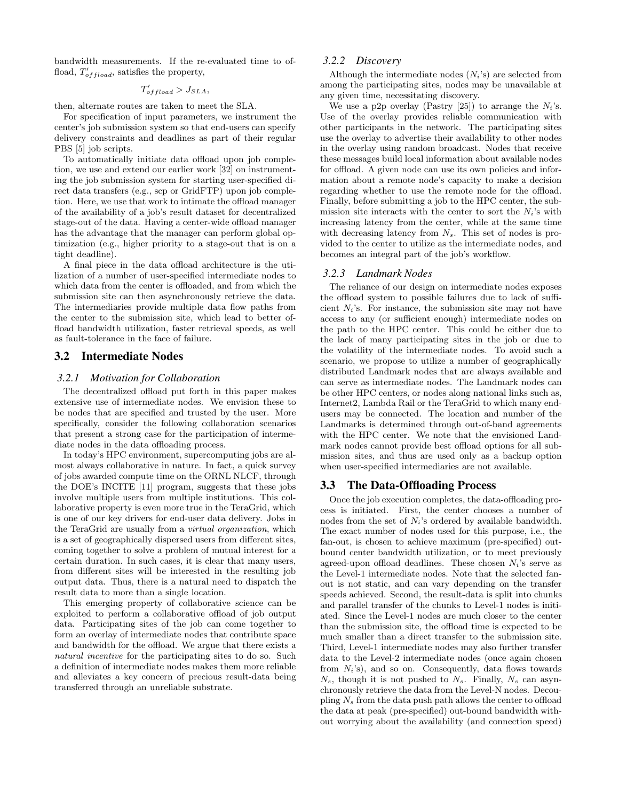bandwidth measurements. If the re-evaluated time to offload,  $T'_{offload}$ , satisfies the property,

$$
T'_{offload} > J_{SLA},
$$

then, alternate routes are taken to meet the SLA.

For specification of input parameters, we instrument the center's job submission system so that end-users can specify delivery constraints and deadlines as part of their regular PBS [5] job scripts.

To automatically initiate data offload upon job completion, we use and extend our earlier work [32] on instrumenting the job submission system for starting user-specified direct data transfers (e.g., scp or GridFTP) upon job completion. Here, we use that work to intimate the offload manager of the availability of a job's result dataset for decentralized stage-out of the data. Having a center-wide offload manager has the advantage that the manager can perform global optimization (e.g., higher priority to a stage-out that is on a tight deadline).

A final piece in the data offload architecture is the utilization of a number of user-specified intermediate nodes to which data from the center is offloaded, and from which the submission site can then asynchronously retrieve the data. The intermediaries provide multiple data flow paths from the center to the submission site, which lead to better offload bandwidth utilization, faster retrieval speeds, as well as fault-tolerance in the face of failure.

## **3.2 Intermediate Nodes**

#### *3.2.1 Motivation for Collaboration*

The decentralized offload put forth in this paper makes extensive use of intermediate nodes. We envision these to be nodes that are specified and trusted by the user. More specifically, consider the following collaboration scenarios that present a strong case for the participation of intermediate nodes in the data offloading process.

In today's HPC environment, supercomputing jobs are almost always collaborative in nature. In fact, a quick survey of jobs awarded compute time on the ORNL NLCF, through the DOE's INCITE [11] program, suggests that these jobs involve multiple users from multiple institutions. This collaborative property is even more true in the TeraGrid, which is one of our key drivers for end-user data delivery. Jobs in the TeraGrid are usually from a virtual organization, which is a set of geographically dispersed users from different sites, coming together to solve a problem of mutual interest for a certain duration. In such cases, it is clear that many users, from different sites will be interested in the resulting job output data. Thus, there is a natural need to dispatch the result data to more than a single location.

This emerging property of collaborative science can be exploited to perform a collaborative offload of job output data. Participating sites of the job can come together to form an overlay of intermediate nodes that contribute space and bandwidth for the offload. We argue that there exists a natural incentive for the participating sites to do so. Such a definition of intermediate nodes makes them more reliable and alleviates a key concern of precious result-data being transferred through an unreliable substrate.

#### *3.2.2 Discovery*

Although the intermediate nodes  $(N_i)$  are selected from among the participating sites, nodes may be unavailable at any given time, necessitating discovery.

We use a p2p overlay (Pastry [25]) to arrange the  $N_i$ 's. Use of the overlay provides reliable communication with other participants in the network. The participating sites use the overlay to advertise their availability to other nodes in the overlay using random broadcast. Nodes that receive these messages build local information about available nodes for offload. A given node can use its own policies and information about a remote node's capacity to make a decision regarding whether to use the remote node for the offload. Finally, before submitting a job to the HPC center, the submission site interacts with the center to sort the  $N_i$ 's with increasing latency from the center, while at the same time with decreasing latency from  $N_s$ . This set of nodes is provided to the center to utilize as the intermediate nodes, and becomes an integral part of the job's workflow.

#### *3.2.3 Landmark Nodes*

The reliance of our design on intermediate nodes exposes the offload system to possible failures due to lack of sufficient  $N_i$ 's. For instance, the submission site may not have access to any (or sufficient enough) intermediate nodes on the path to the HPC center. This could be either due to the lack of many participating sites in the job or due to the volatility of the intermediate nodes. To avoid such a scenario, we propose to utilize a number of geographically distributed Landmark nodes that are always available and can serve as intermediate nodes. The Landmark nodes can be other HPC centers, or nodes along national links such as, Internet2, Lambda Rail or the TeraGrid to which many endusers may be connected. The location and number of the Landmarks is determined through out-of-band agreements with the HPC center. We note that the envisioned Landmark nodes cannot provide best offload options for all submission sites, and thus are used only as a backup option when user-specified intermediaries are not available.

## **3.3 The Data-Offloading Process**

Once the job execution completes, the data-offloading process is initiated. First, the center chooses a number of nodes from the set of  $N_i$ 's ordered by available bandwidth. The exact number of nodes used for this purpose, i.e., the fan-out, is chosen to achieve maximum (pre-specified) outbound center bandwidth utilization, or to meet previously agreed-upon offload deadlines. These chosen  $N_i$ 's serve as the Level-1 intermediate nodes. Note that the selected fanout is not static, and can vary depending on the transfer speeds achieved. Second, the result-data is split into chunks and parallel transfer of the chunks to Level-1 nodes is initiated. Since the Level-1 nodes are much closer to the center than the submission site, the offload time is expected to be much smaller than a direct transfer to the submission site. Third, Level-1 intermediate nodes may also further transfer data to the Level-2 intermediate nodes (once again chosen from  $N_i$ 's), and so on. Consequently, data flows towards  $N_s$ , though it is not pushed to  $N_s$ . Finally,  $N_s$  can asynchronously retrieve the data from the Level-N nodes. Decoupling  $N_s$  from the data push path allows the center to offload the data at peak (pre-specified) out-bound bandwidth without worrying about the availability (and connection speed)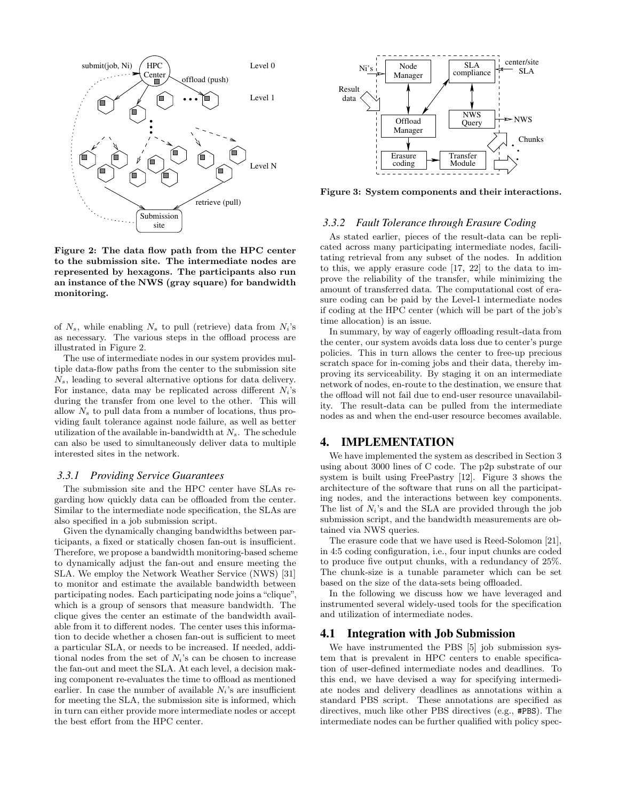

Figure 2: The data flow path from the HPC center to the submission site. The intermediate nodes are represented by hexagons. The participants also run an instance of the NWS (gray square) for bandwidth monitoring.

of  $N_s$ , while enabling  $N_s$  to pull (retrieve) data from  $N_i$ 's as necessary. The various steps in the offload process are illustrated in Figure 2.

The use of intermediate nodes in our system provides multiple data-flow paths from the center to the submission site  $N_s$ , leading to several alternative options for data delivery. For instance, data may be replicated across different  $N_i$ 's during the transfer from one level to the other. This will allow  $N_s$  to pull data from a number of locations, thus providing fault tolerance against node failure, as well as better utilization of the available in-bandwidth at  $N_s$ . The schedule can also be used to simultaneously deliver data to multiple interested sites in the network.

#### *3.3.1 Providing Service Guarantees*

The submission site and the HPC center have SLAs regarding how quickly data can be offloaded from the center. Similar to the intermediate node specification, the SLAs are also specified in a job submission script.

Given the dynamically changing bandwidths between participants, a fixed or statically chosen fan-out is insufficient. Therefore, we propose a bandwidth monitoring-based scheme to dynamically adjust the fan-out and ensure meeting the SLA. We employ the Network Weather Service (NWS) [31] to monitor and estimate the available bandwidth between participating nodes. Each participating node joins a"clique", which is a group of sensors that measure bandwidth. The clique gives the center an estimate of the bandwidth available from it to different nodes. The center uses this information to decide whether a chosen fan-out is sufficient to meet a particular SLA, or needs to be increased. If needed, additional nodes from the set of  $N_i$ 's can be chosen to increase the fan-out and meet the SLA. At each level, a decision making component re-evaluates the time to offload as mentioned earlier. In case the number of available  $N_i$ 's are insufficient for meeting the SLA, the submission site is informed, which in turn can either provide more intermediate nodes or accept the best effort from the HPC center.



Figure 3: System components and their interactions.

#### *3.3.2 Fault Tolerance through Erasure Coding*

As stated earlier, pieces of the result-data can be replicated across many participating intermediate nodes, facilitating retrieval from any subset of the nodes. In addition to this, we apply erasure code [17, 22] to the data to improve the reliability of the transfer, while minimizing the amount of transferred data. The computational cost of erasure coding can be paid by the Level-1 intermediate nodes if coding at the HPC center (which will be part of the job's time allocation) is an issue.

In summary, by way of eagerly offloading result-data from the center, our system avoids data loss due to center's purge policies. This in turn allows the center to free-up precious scratch space for in-coming jobs and their data, thereby improving its serviceability. By staging it on an intermediate network of nodes, en-route to the destination, we ensure that the offload will not fail due to end-user resource unavailability. The result-data can be pulled from the intermediate nodes as and when the end-user resource becomes available.

## **4. IMPLEMENTATION**

We have implemented the system as described in Section 3 using about 3000 lines of C code. The p2p substrate of our system is built using FreePastry [12]. Figure 3 shows the architecture of the software that runs on all the participating nodes, and the interactions between key components. The list of  $N_i$ 's and the SLA are provided through the job submission script, and the bandwidth measurements are obtained via NWS queries.

The erasure code that we have used is Reed-Solomon [21], in 4:5 coding configuration, i.e., four input chunks are coded to produce five output chunks, with a redundancy of 25%. The chunk-size is a tunable parameter which can be set based on the size of the data-sets being offloaded.

In the following we discuss how we have leveraged and instrumented several widely-used tools for the specification and utilization of intermediate nodes.

#### **4.1 Integration with Job Submission**

We have instrumented the PBS [5] job submission system that is prevalent in HPC centers to enable specification of user-defined intermediate nodes and deadlines. To this end, we have devised a way for specifying intermediate nodes and delivery deadlines as annotations within a standard PBS script. These annotations are specified as directives, much like other PBS directives (e.g., #PBS). The intermediate nodes can be further qualified with policy spec-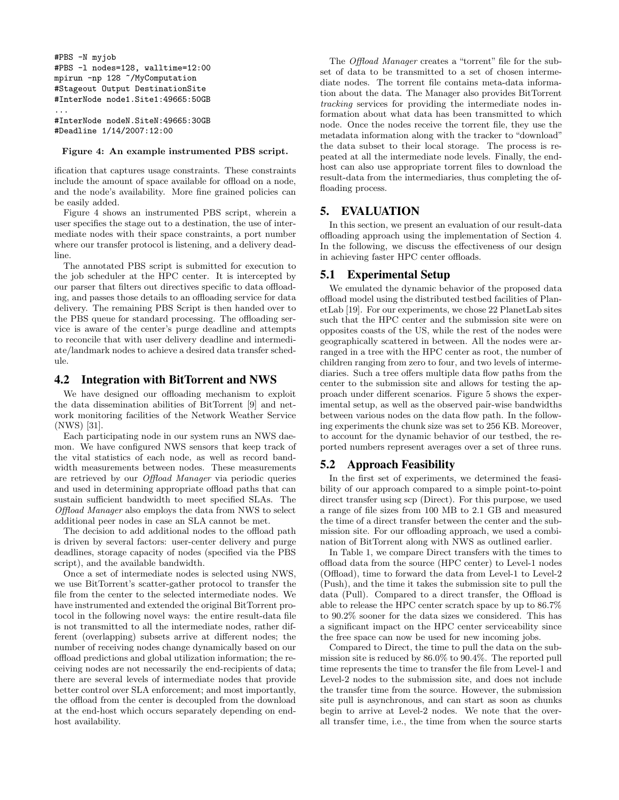```
#PBS -N myjob
#PBS -l nodes=128, walltime=12:00
mpirun -np 128 ~/MyComputation
#Stageout Output DestinationSite
#InterNode node1.Site1:49665:50GB
...
#InterNode nodeN.SiteN:49665:30GB
#Deadline 1/14/2007:12:00
```
#### Figure 4: An example instrumented PBS script.

ification that captures usage constraints. These constraints include the amount of space available for offload on a node, and the node's availability. More fine grained policies can be easily added.

Figure 4 shows an instrumented PBS script, wherein a user specifies the stage out to a destination, the use of intermediate nodes with their space constraints, a port number where our transfer protocol is listening, and a delivery deadline.

The annotated PBS script is submitted for execution to the job scheduler at the HPC center. It is intercepted by our parser that filters out directives specific to data offloading, and passes those details to an offloading service for data delivery. The remaining PBS Script is then handed over to the PBS queue for standard processing. The offloading service is aware of the center's purge deadline and attempts to reconcile that with user delivery deadline and intermediate/landmark nodes to achieve a desired data transfer schedule.

#### **4.2 Integration with BitTorrent and NWS**

We have designed our offloading mechanism to exploit the data dissemination abilities of BitTorrent [9] and network monitoring facilities of the Network Weather Service (NWS) [31].

Each participating node in our system runs an NWS daemon. We have configured NWS sensors that keep track of the vital statistics of each node, as well as record bandwidth measurements between nodes. These measurements are retrieved by our Offload Manager via periodic queries and used in determining appropriate offload paths that can sustain sufficient bandwidth to meet specified SLAs. The Offload Manager also employs the data from NWS to select additional peer nodes in case an SLA cannot be met.

The decision to add additional nodes to the offload path is driven by several factors: user-center delivery and purge deadlines, storage capacity of nodes (specified via the PBS script), and the available bandwidth.

Once a set of intermediate nodes is selected using NWS, we use BitTorrent's scatter-gather protocol to transfer the file from the center to the selected intermediate nodes. We have instrumented and extended the original BitTorrent protocol in the following novel ways: the entire result-data file is not transmitted to all the intermediate nodes, rather different (overlapping) subsets arrive at different nodes; the number of receiving nodes change dynamically based on our offload predictions and global utilization information; the receiving nodes are not necessarily the end-recipients of data; there are several levels of intermediate nodes that provide better control over SLA enforcement; and most importantly, the offload from the center is decoupled from the download at the end-host which occurs separately depending on endhost availability.

The Offload Manager creates a "torrent" file for the subset of data to be transmitted to a set of chosen intermediate nodes. The torrent file contains meta-data information about the data. The Manager also provides BitTorrent tracking services for providing the intermediate nodes information about what data has been transmitted to which node. Once the nodes receive the torrent file, they use the metadata information along with the tracker to "download" the data subset to their local storage. The process is repeated at all the intermediate node levels. Finally, the endhost can also use appropriate torrent files to download the result-data from the intermediaries, thus completing the offloading process.

# **5. EVALUATION**

In this section, we present an evaluation of our result-data offloading approach using the implementation of Section 4. In the following, we discuss the effectiveness of our design in achieving faster HPC center offloads.

#### **5.1 Experimental Setup**

We emulated the dynamic behavior of the proposed data offload model using the distributed testbed facilities of PlanetLab [19]. For our experiments, we chose 22 PlanetLab sites such that the HPC center and the submission site were on opposites coasts of the US, while the rest of the nodes were geographically scattered in between. All the nodes were arranged in a tree with the HPC center as root, the number of children ranging from zero to four, and two levels of intermediaries. Such a tree offers multiple data flow paths from the center to the submission site and allows for testing the approach under different scenarios. Figure 5 shows the experimental setup, as well as the observed pair-wise bandwidths between various nodes on the data flow path. In the following experiments the chunk size was set to 256 KB. Moreover, to account for the dynamic behavior of our testbed, the reported numbers represent averages over a set of three runs.

## **5.2 Approach Feasibility**

In the first set of experiments, we determined the feasibility of our approach compared to a simple point-to-point direct transfer using scp (Direct). For this purpose, we used a range of file sizes from 100 MB to 2.1 GB and measured the time of a direct transfer between the center and the submission site. For our offloading approach, we used a combination of BitTorrent along with NWS as outlined earlier.

In Table 1, we compare Direct transfers with the times to offload data from the source (HPC center) to Level-1 nodes (Offload), time to forward the data from Level-1 to Level-2 (Push), and the time it takes the submission site to pull the data (Pull). Compared to a direct transfer, the Offload is able to release the HPC center scratch space by up to 86.7% to 90.2% sooner for the data sizes we considered. This has a significant impact on the HPC center serviceability since the free space can now be used for new incoming jobs.

Compared to Direct, the time to pull the data on the submission site is reduced by 86.0% to 90.4%. The reported pull time represents the time to transfer the file from Level-1 and Level-2 nodes to the submission site, and does not include the transfer time from the source. However, the submission site pull is asynchronous, and can start as soon as chunks begin to arrive at Level-2 nodes. We note that the overall transfer time, i.e., the time from when the source starts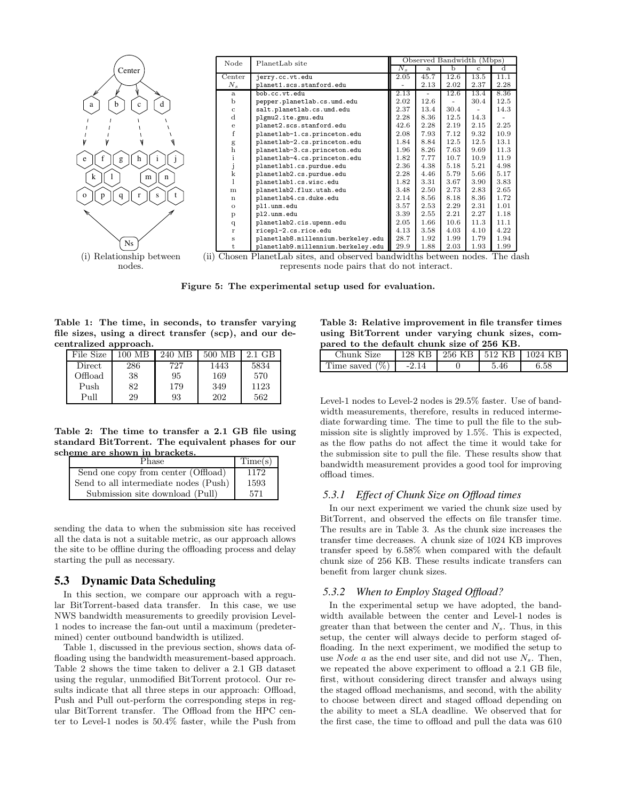

Figure 5: The experimental setup used for evaluation.

Table 1: The time, in seconds, to transfer varying file sizes, using a direct transfer (scp), and our decentralized approach.

| File Size | 100 MB | 240 MB | 500 MB | 2.1 GB |
|-----------|--------|--------|--------|--------|
| Direct    | 286    | 727    | 1443   | 5834   |
| Offload   | 38     | 95     | 169    | 570    |
| Push      | 82     | 179    | 349    | 1123   |
| Pull      | 29     | 93     | 202    | 562    |

Table 2: The time to transfer a 2.1 GB file using standard BitTorrent. The equivalent phases for our scheme are shown in brackets.

| Phase                                            | Time(s) |
|--------------------------------------------------|---------|
| Send one copy from center $\overline{(Offload)}$ | 1172    |
| Send to all intermediate nodes (Push)            | 1593    |
| Submission site download (Pull)                  | 571     |

sending the data to when the submission site has received all the data is not a suitable metric, as our approach allows the site to be offline during the offloading process and delay starting the pull as necessary.

## **5.3 Dynamic Data Scheduling**

In this section, we compare our approach with a regular BitTorrent-based data transfer. In this case, we use NWS bandwidth measurements to greedily provision Level-1 nodes to increase the fan-out until a maximum (predetermined) center outbound bandwidth is utilized.

Table 1, discussed in the previous section, shows data offloading using the bandwidth measurement-based approach. Table 2 shows the time taken to deliver a 2.1 GB dataset using the regular, unmodified BitTorrent protocol. Our results indicate that all three steps in our approach: Offload, Push and Pull out-perform the corresponding steps in regular BitTorrent transfer. The Offload from the HPC center to Level-1 nodes is 50.4% faster, while the Push from

Table 3: Relative improvement in file transfer times using BitTorrent under varying chunk sizes, compared to the default chunk size of 256 KB.

| Thunk Size.       |  |      | 128 KB 1 256 KB 1 512 KB 1 1024 KB |
|-------------------|--|------|------------------------------------|
| Time saved $(\%)$ |  | 5.46 | 6.58                               |

Level-1 nodes to Level-2 nodes is 29.5% faster. Use of bandwidth measurements, therefore, results in reduced intermediate forwarding time. The time to pull the file to the submission site is slightly improved by 1.5%. This is expected, as the flow paths do not affect the time it would take for the submission site to pull the file. These results show that bandwidth measurement provides a good tool for improving offload times.

#### *5.3.1 Effect of Chunk Size on Offload times*

In our next experiment we varied the chunk size used by BitTorrent, and observed the effects on file transfer time. The results are in Table 3. As the chunk size increases the transfer time decreases. A chunk size of 1024 KB improves transfer speed by 6.58% when compared with the default chunk size of 256 KB. These results indicate transfers can benefit from larger chunk sizes.

#### *5.3.2 When to Employ Staged Offload?*

In the experimental setup we have adopted, the bandwidth available between the center and Level-1 nodes is greater than that between the center and  $N_s$ . Thus, in this setup, the center will always decide to perform staged offloading. In the next experiment, we modified the setup to use *Node a* as the end user site, and did not use  $N_s$ . Then, we repeated the above experiment to offload a 2.1 GB file, first, without considering direct transfer and always using the staged offload mechanisms, and second, with the ability to choose between direct and staged offload depending on the ability to meet a SLA deadline. We observed that for the first case, the time to offload and pull the data was 610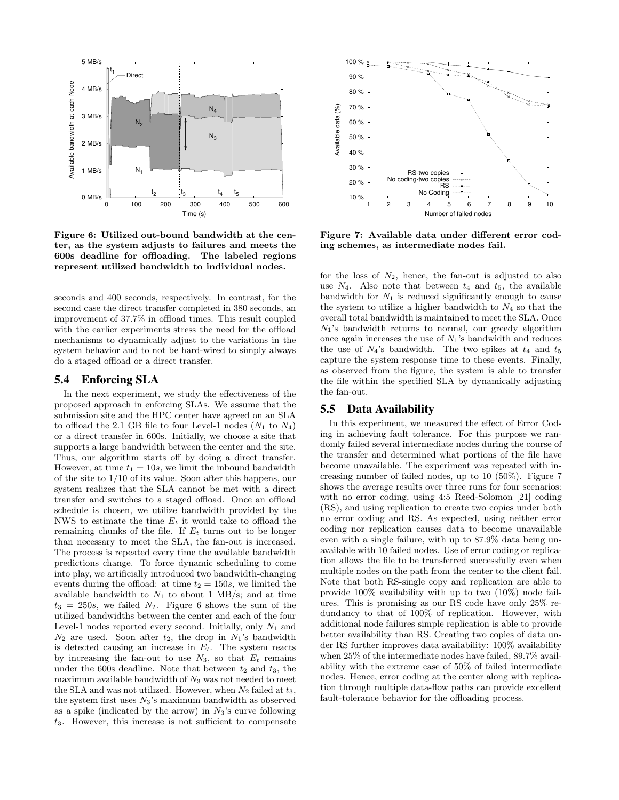

Figure 6: Utilized out-bound bandwidth at the center, as the system adjusts to failures and meets the 600s deadline for offloading. The labeled regions represent utilized bandwidth to individual nodes.

seconds and 400 seconds, respectively. In contrast, for the second case the direct transfer completed in 380 seconds, an improvement of 37.7% in offload times. This result coupled with the earlier experiments stress the need for the offload mechanisms to dynamically adjust to the variations in the system behavior and to not be hard-wired to simply always do a staged offload or a direct transfer.

#### **5.4 Enforcing SLA**

In the next experiment, we study the effectiveness of the proposed approach in enforcing SLAs. We assume that the submission site and the HPC center have agreed on an SLA to offload the 2.1 GB file to four Level-1 nodes  $(N_1$  to  $N_4)$ or a direct transfer in 600s. Initially, we choose a site that supports a large bandwidth between the center and the site. Thus, our algorithm starts off by doing a direct transfer. However, at time  $t_1 = 10s$ , we limit the inbound bandwidth of the site to 1/10 of its value. Soon after this happens, our system realizes that the SLA cannot be met with a direct transfer and switches to a staged offload. Once an offload schedule is chosen, we utilize bandwidth provided by the NWS to estimate the time  $E_t$  it would take to offload the remaining chunks of the file. If  $E_t$  turns out to be longer than necessary to meet the SLA, the fan-out is increased. The process is repeated every time the available bandwidth predictions change. To force dynamic scheduling to come into play, we artificially introduced two bandwidth-changing events during the offload: at time  $t_2 = 150s$ , we limited the available bandwidth to  $N_1$  to about 1 MB/s; and at time  $t_3 = 250s$ , we failed  $N_2$ . Figure 6 shows the sum of the utilized bandwidths between the center and each of the four Level-1 nodes reported every second. Initially, only  $N_1$  and  $N_2$  are used. Soon after  $t_2$ , the drop in  $N_1$ 's bandwidth is detected causing an increase in  $E_t$ . The system reacts by increasing the fan-out to use  $N_3$ , so that  $E_t$  remains under the 600s deadline. Note that between  $t_2$  and  $t_3$ , the maximum available bandwidth of  $N_3$  was not needed to meet the SLA and was not utilized. However, when  $N_2$  failed at  $t_3$ , the system first uses  $N_3$ 's maximum bandwidth as observed as a spike (indicated by the arrow) in  $N_3$ 's curve following  $t_3$ . However, this increase is not sufficient to compensate



Figure 7: Available data under different error coding schemes, as intermediate nodes fail.

for the loss of  $N_2$ , hence, the fan-out is adjusted to also use  $N_4$ . Also note that between  $t_4$  and  $t_5$ , the available bandwidth for  $N_1$  is reduced significantly enough to cause the system to utilize a higher bandwidth to  $N_4$  so that the overall total bandwidth is maintained to meet the SLA. Once  $N_1$ 's bandwidth returns to normal, our greedy algorithm once again increases the use of  $N_1$ 's bandwidth and reduces the use of  $N_4$ 's bandwidth. The two spikes at  $t_4$  and  $t_5$ capture the system response time to these events. Finally, as observed from the figure, the system is able to transfer the file within the specified SLA by dynamically adjusting the fan-out.

## **5.5 Data Availability**

In this experiment, we measured the effect of Error Coding in achieving fault tolerance. For this purpose we randomly failed several intermediate nodes during the course of the transfer and determined what portions of the file have become unavailable. The experiment was repeated with increasing number of failed nodes, up to 10 (50%). Figure 7 shows the average results over three runs for four scenarios: with no error coding, using 4:5 Reed-Solomon [21] coding (RS), and using replication to create two copies under both no error coding and RS. As expected, using neither error coding nor replication causes data to become unavailable even with a single failure, with up to 87.9% data being unavailable with 10 failed nodes. Use of error coding or replication allows the file to be transferred successfully even when multiple nodes on the path from the center to the client fail. Note that both RS-single copy and replication are able to provide 100% availability with up to two (10%) node failures. This is promising as our RS code have only 25% redundancy to that of 100% of replication. However, with additional node failures simple replication is able to provide better availability than RS. Creating two copies of data under RS further improves data availability: 100% availability when 25% of the intermediate nodes have failed, 89.7% availability with the extreme case of 50% of failed intermediate nodes. Hence, error coding at the center along with replication through multiple data-flow paths can provide excellent fault-tolerance behavior for the offloading process.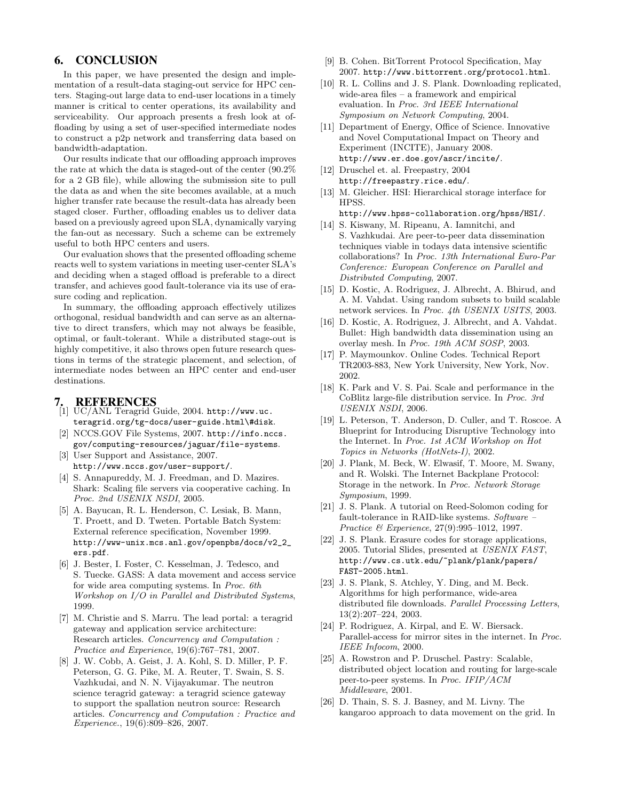# **6. CONCLUSION**

In this paper, we have presented the design and implementation of a result-data staging-out service for HPC centers. Staging-out large data to end-user locations in a timely manner is critical to center operations, its availability and serviceability. Our approach presents a fresh look at offloading by using a set of user-specified intermediate nodes to construct a p2p network and transferring data based on bandwidth-adaptation.

Our results indicate that our offloading approach improves the rate at which the data is staged-out of the center (90.2% for a 2 GB file), while allowing the submission site to pull the data as and when the site becomes available, at a much higher transfer rate because the result-data has already been staged closer. Further, offloading enables us to deliver data based on a previously agreed upon SLA, dynamically varying the fan-out as necessary. Such a scheme can be extremely useful to both HPC centers and users.

Our evaluation shows that the presented offloading scheme reacts well to system variations in meeting user-center SLA's and deciding when a staged offload is preferable to a direct transfer, and achieves good fault-tolerance via its use of erasure coding and replication.

In summary, the offloading approach effectively utilizes orthogonal, residual bandwidth and can serve as an alternative to direct transfers, which may not always be feasible, optimal, or fault-tolerant. While a distributed stage-out is highly competitive, it also throws open future research questions in terms of the strategic placement, and selection, of intermediate nodes between an HPC center and end-user destinations.

## **7. REFERENCES**

- [1] UC/ANL Teragrid Guide, 2004. http://www.uc. teragrid.org/tg-docs/user-guide.html\#disk.
- [2] NCCS.GOV File Systems, 2007. http://info.nccs. gov/computing-resources/jaguar/file-systems.
- [3] User Support and Assistance, 2007. http://www.nccs.gov/user-support/.
- [4] S. Annapureddy, M. J. Freedman, and D. Mazires. Shark: Scaling file servers via cooperative caching. In Proc. 2nd USENIX NSDI, 2005.
- [5] A. Bayucan, R. L. Henderson, C. Lesiak, B. Mann, T. Proett, and D. Tweten. Portable Batch System: External reference specification, November 1999. http://www-unix.mcs.anl.gov/openpbs/docs/v2\_2\_ ers.pdf.
- [6] J. Bester, I. Foster, C. Kesselman, J. Tedesco, and S. Tuecke. GASS: A data movement and access service for wide area computing systems. In Proc. 6th Workshop on I/O in Parallel and Distributed Systems, 1999.
- [7] M. Christie and S. Marru. The lead portal: a teragrid gateway and application service architecture: Research articles. Concurrency and Computation : Practice and Experience, 19(6):767–781, 2007.
- [8] J. W. Cobb, A. Geist, J. A. Kohl, S. D. Miller, P. F. Peterson, G. G. Pike, M. A. Reuter, T. Swain, S. S. Vazhkudai, and N. N. Vijayakumar. The neutron science teragrid gateway: a teragrid science gateway to support the spallation neutron source: Research articles. Concurrency and Computation : Practice and  $Experience., 19(6):809-826, 2007.$
- [9] B. Cohen. BitTorrent Protocol Specification, May 2007. http://www.bittorrent.org/protocol.html.
- [10] R. L. Collins and J. S. Plank. Downloading replicated, wide-area files – a framework and empirical evaluation. In Proc. 3rd IEEE International Symposium on Network Computing, 2004.
- [11] Department of Energy, Office of Science. Innovative and Novel Computational Impact on Theory and Experiment (INCITE), January 2008. http://www.er.doe.gov/ascr/incite/.
- [12] Druschel et. al. Freepastry, 2004 http://freepastry.rice.edu/.
- [13] M. Gleicher. HSI: Hierarchical storage interface for HPSS.

## http://www.hpss-collaboration.org/hpss/HSI/.

- [14] S. Kiswany, M. Ripeanu, A. Iamnitchi, and S. Vazhkudai. Are peer-to-peer data dissemination techniques viable in todays data intensive scientific collaborations? In Proc. 13th International Euro-Par Conference: European Conference on Parallel and Distributed Computing, 2007.
- [15] D. Kostic, A. Rodriguez, J. Albrecht, A. Bhirud, and A. M. Vahdat. Using random subsets to build scalable network services. In Proc. 4th USENIX USITS, 2003.
- [16] D. Kostic, A. Rodriguez, J. Albrecht, and A. Vahdat. Bullet: High bandwidth data dissemination using an overlay mesh. In Proc. 19th ACM SOSP, 2003.
- [17] P. Maymounkov. Online Codes. Technical Report TR2003-883, New York University, New York, Nov. 2002.
- [18] K. Park and V. S. Pai. Scale and performance in the CoBlitz large-file distribution service. In Proc. 3rd USENIX NSDI, 2006.
- [19] L. Peterson, T. Anderson, D. Culler, and T. Roscoe. A Blueprint for Introducing Disruptive Technology into the Internet. In Proc. 1st ACM Workshop on Hot Topics in Networks (HotNets-I), 2002.
- [20] J. Plank, M. Beck, W. Elwasif, T. Moore, M. Swany, and R. Wolski. The Internet Backplane Protocol: Storage in the network. In Proc. Network Storage Symposium, 1999.
- [21] J. S. Plank. A tutorial on Reed-Solomon coding for fault-tolerance in RAID-like systems. Software – Practice & Experience, 27(9):995–1012, 1997.
- [22] J. S. Plank. Erasure codes for storage applications, 2005. Tutorial Slides, presented at USENIX FAST, http://www.cs.utk.edu/~plank/plank/papers/ FAST-2005.html.
- [23] J. S. Plank, S. Atchley, Y. Ding, and M. Beck. Algorithms for high performance, wide-area distributed file downloads. Parallel Processing Letters, 13(2):207–224, 2003.
- [24] P. Rodriguez, A. Kirpal, and E. W. Biersack. Parallel-access for mirror sites in the internet. In Proc. IEEE Infocom, 2000.
- [25] A. Rowstron and P. Druschel. Pastry: Scalable, distributed object location and routing for large-scale peer-to-peer systems. In Proc. IFIP/ACM Middleware, 2001.
- [26] D. Thain, S. S. J. Basney, and M. Livny. The kangaroo approach to data movement on the grid. In